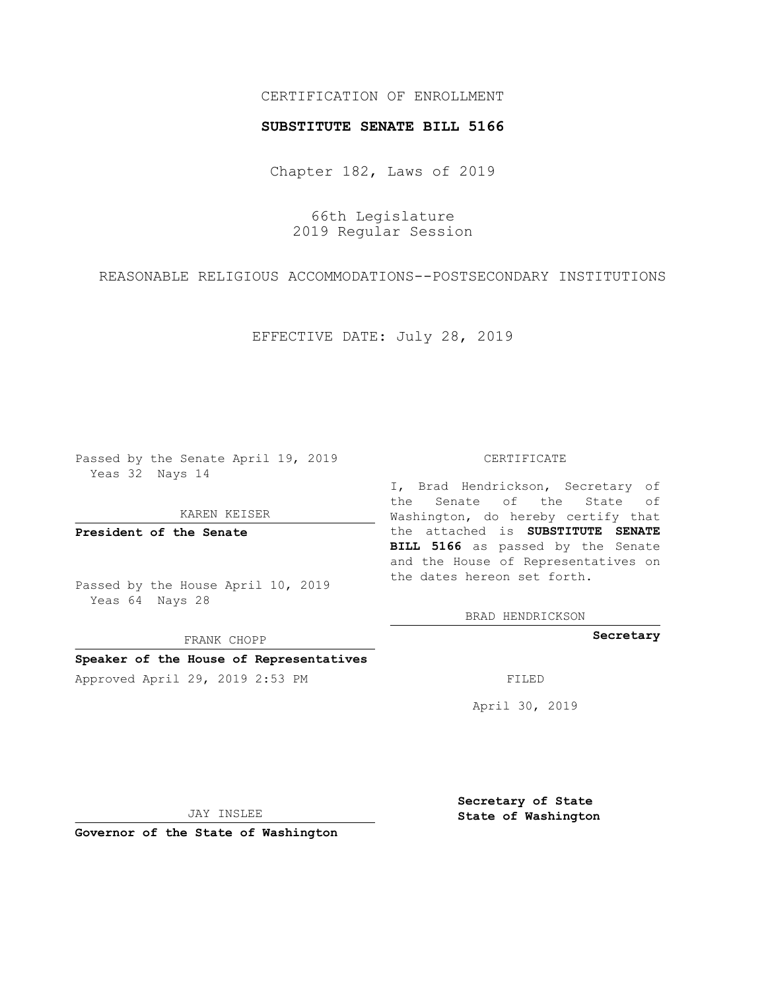## CERTIFICATION OF ENROLLMENT

### **SUBSTITUTE SENATE BILL 5166**

Chapter 182, Laws of 2019

66th Legislature 2019 Regular Session

REASONABLE RELIGIOUS ACCOMMODATIONS--POSTSECONDARY INSTITUTIONS

EFFECTIVE DATE: July 28, 2019

Passed by the Senate April 19, 2019 Yeas 32 Nays 14

KAREN KEISER

**President of the Senate**

Passed by the House April 10, 2019 Yeas 64 Nays 28

FRANK CHOPP

## **Speaker of the House of Representatives**

Approved April 29, 2019 2:53 PM FILED

#### CERTIFICATE

I, Brad Hendrickson, Secretary of the Senate of the State of Washington, do hereby certify that the attached is **SUBSTITUTE SENATE BILL 5166** as passed by the Senate and the House of Representatives on the dates hereon set forth.

BRAD HENDRICKSON

**Secretary**

April 30, 2019

JAY INSLEE

**Governor of the State of Washington**

**Secretary of State State of Washington**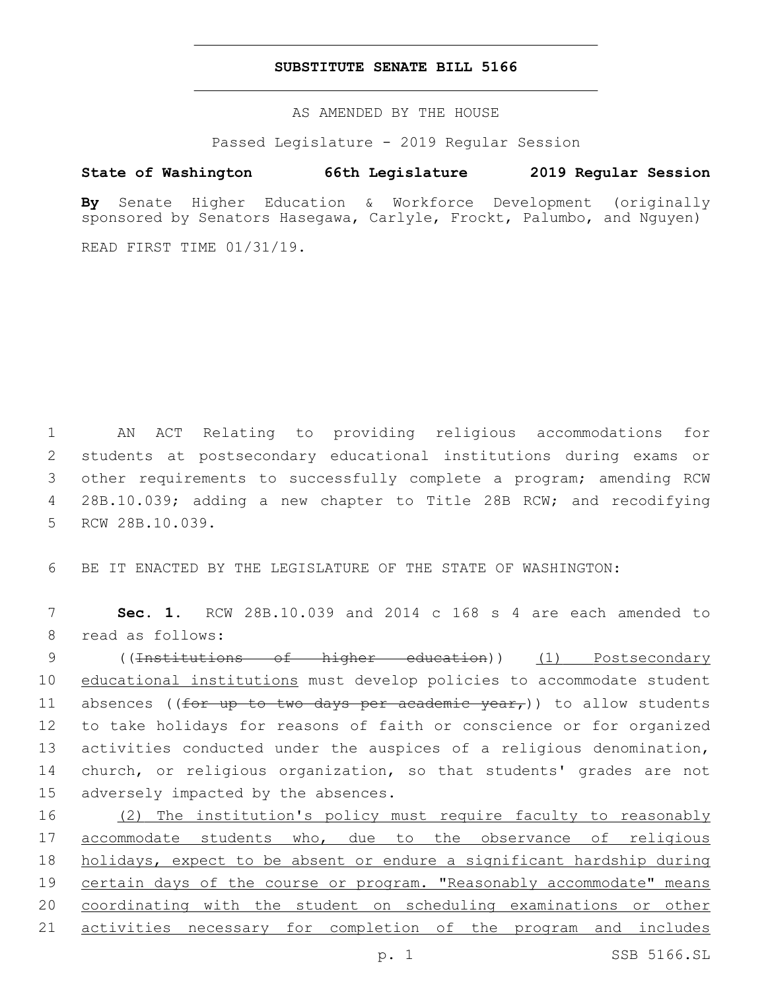### **SUBSTITUTE SENATE BILL 5166**

AS AMENDED BY THE HOUSE

Passed Legislature - 2019 Regular Session

# **State of Washington 66th Legislature 2019 Regular Session**

**By** Senate Higher Education & Workforce Development (originally sponsored by Senators Hasegawa, Carlyle, Frockt, Palumbo, and Nguyen)

READ FIRST TIME 01/31/19.

 AN ACT Relating to providing religious accommodations for students at postsecondary educational institutions during exams or other requirements to successfully complete a program; amending RCW 28B.10.039; adding a new chapter to Title 28B RCW; and recodifying 5 RCW 28B.10.039.

6 BE IT ENACTED BY THE LEGISLATURE OF THE STATE OF WASHINGTON:

7 **Sec. 1.** RCW 28B.10.039 and 2014 c 168 s 4 are each amended to 8 read as follows:

 ((Institutions of higher education)) (1) Postsecondary educational institutions must develop policies to accommodate student 11 absences ((for up to two days per academic year,)) to allow students to take holidays for reasons of faith or conscience or for organized activities conducted under the auspices of a religious denomination, church, or religious organization, so that students' grades are not 15 adversely impacted by the absences.

 (2) The institution's policy must require faculty to reasonably 17 accommodate students who, due to the observance of religious holidays, expect to be absent or endure a significant hardship during certain days of the course or program. "Reasonably accommodate" means coordinating with the student on scheduling examinations or other 21 activities necessary for completion of the program and includes

p. 1 SSB 5166.SL